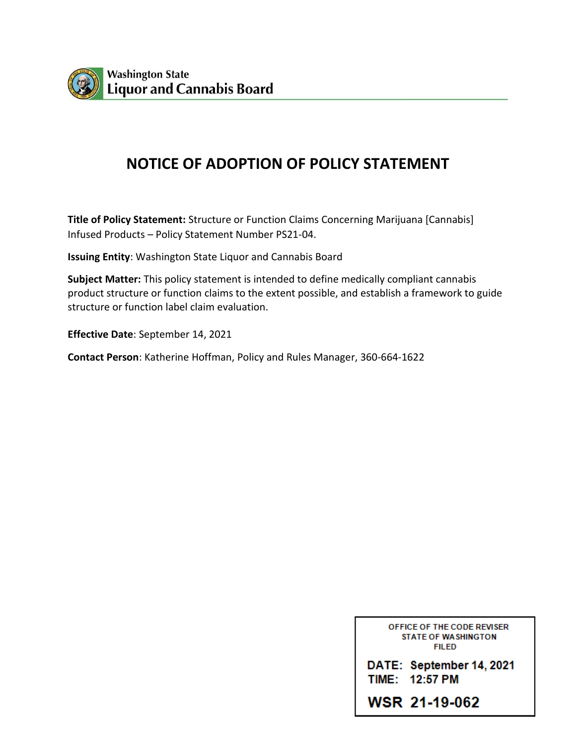

# **NOTICE OF ADOPTION OF POLICY STATEMENT**

**Title of Policy Statement:** Structure or Function Claims Concerning Marijuana [Cannabis] Infused Products – Policy Statement Number PS21-04.

**Issuing Entity**: Washington State Liquor and Cannabis Board

**Subject Matter:** This policy statement is intended to define medically compliant cannabis product structure or function claims to the extent possible, and establish a framework to guide structure or function label claim evaluation.

**Effective Date**: September 14, 2021

**Contact Person**: Katherine Hoffman, Policy and Rules Manager, 360-664-1622

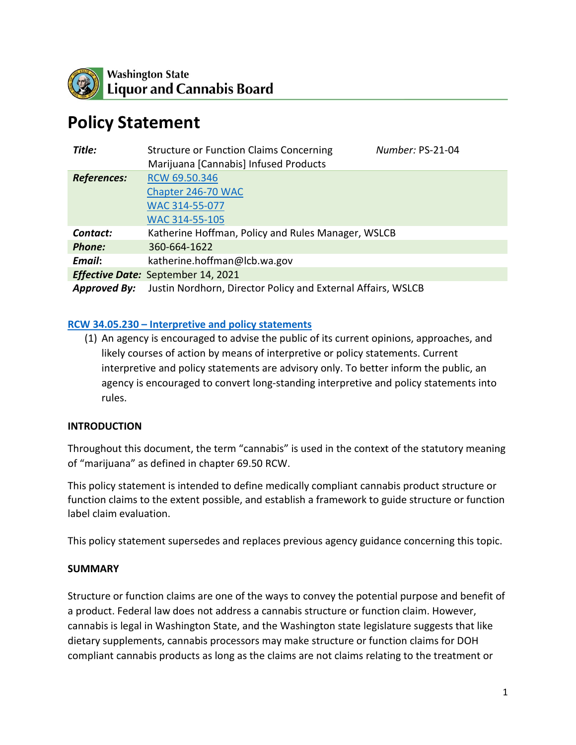

# **Policy Statement**

| Title:                                    | Number: PS-21-04<br><b>Structure or Function Claims Concerning</b><br>Marijuana [Cannabis] Infused Products |  |
|-------------------------------------------|-------------------------------------------------------------------------------------------------------------|--|
| <b>References:</b>                        | RCW 69.50.346                                                                                               |  |
|                                           | Chapter 246-70 WAC                                                                                          |  |
|                                           | WAC 314-55-077                                                                                              |  |
|                                           | WAC 314-55-105                                                                                              |  |
| Contact:                                  | Katherine Hoffman, Policy and Rules Manager, WSLCB                                                          |  |
| <b>Phone:</b>                             | 360-664-1622                                                                                                |  |
| Email:                                    | katherine.hoffman@lcb.wa.gov                                                                                |  |
| <b>Effective Date:</b> September 14, 2021 |                                                                                                             |  |
| <b>Approved By:</b>                       | Justin Nordhorn, Director Policy and External Affairs, WSLCB                                                |  |

#### **RCW 34.05.230 – [Interpretive and policy statements](https://app.leg.wa.gov/rcw/default.aspx?cite=34.05.230)**

(1) An agency is encouraged to advise the public of its current opinions, approaches, and likely courses of action by means of interpretive or policy statements. Current interpretive and policy statements are advisory only. To better inform the public, an agency is encouraged to convert long-standing interpretive and policy statements into rules.

#### **INTRODUCTION**

Throughout this document, the term "cannabis" is used in the context of the statutory meaning of "marijuana" as defined in chapter 69.50 RCW.

This policy statement is intended to define medically compliant cannabis product structure or function claims to the extent possible, and establish a framework to guide structure or function label claim evaluation.

This policy statement supersedes and replaces previous agency guidance concerning this topic.

#### **SUMMARY**

Structure or function claims are one of the ways to convey the potential purpose and benefit of a product. Federal law does not address a cannabis structure or function claim. However, cannabis is legal in Washington State, and the Washington state legislature suggests that like dietary supplements, cannabis processors may make structure or function claims for DOH compliant cannabis products as long as the claims are not claims relating to the treatment or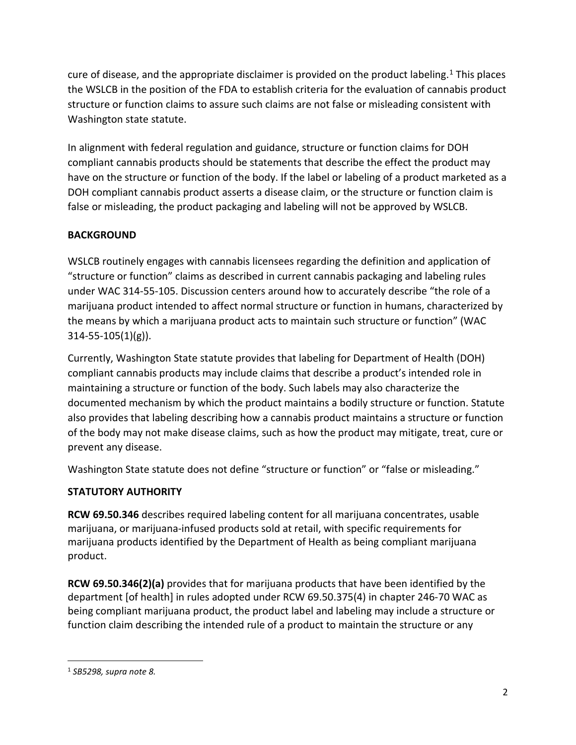cure of disease, and the appropriate disclaimer is provided on the product labeling.<sup>[1](#page-2-0)</sup> This places the WSLCB in the position of the FDA to establish criteria for the evaluation of cannabis product structure or function claims to assure such claims are not false or misleading consistent with Washington state statute.

In alignment with federal regulation and guidance, structure or function claims for DOH compliant cannabis products should be statements that describe the effect the product may have on the structure or function of the body. If the label or labeling of a product marketed as a DOH compliant cannabis product asserts a disease claim, or the structure or function claim is false or misleading, the product packaging and labeling will not be approved by WSLCB.

## **BACKGROUND**

WSLCB routinely engages with cannabis licensees regarding the definition and application of "structure or function" claims as described in current cannabis packaging and labeling rules under WAC 314-55-105. Discussion centers around how to accurately describe "the role of a marijuana product intended to affect normal structure or function in humans, characterized by the means by which a marijuana product acts to maintain such structure or function" (WAC 314-55-105(1)(g)).

Currently, Washington State statute provides that labeling for Department of Health (DOH) compliant cannabis products may include claims that describe a product's intended role in maintaining a structure or function of the body. Such labels may also characterize the documented mechanism by which the product maintains a bodily structure or function. Statute also provides that labeling describing how a cannabis product maintains a structure or function of the body may not make disease claims, such as how the product may mitigate, treat, cure or prevent any disease.

Washington State statute does not define "structure or function" or "false or misleading."

## **STATUTORY AUTHORITY**

**RCW 69.50.346** describes required labeling content for all marijuana concentrates, usable marijuana, or marijuana-infused products sold at retail, with specific requirements for marijuana products identified by the Department of Health as being compliant marijuana product.

**RCW 69.50.346(2)(a)** provides that for marijuana products that have been identified by the department [of health] in rules adopted under RCW 69.50.375(4) in chapter 246-70 WAC as being compliant marijuana product, the product label and labeling may include a structure or function claim describing the intended rule of a product to maintain the structure or any

<span id="page-2-0"></span> <sup>1</sup> *SB5298, supra note 8.*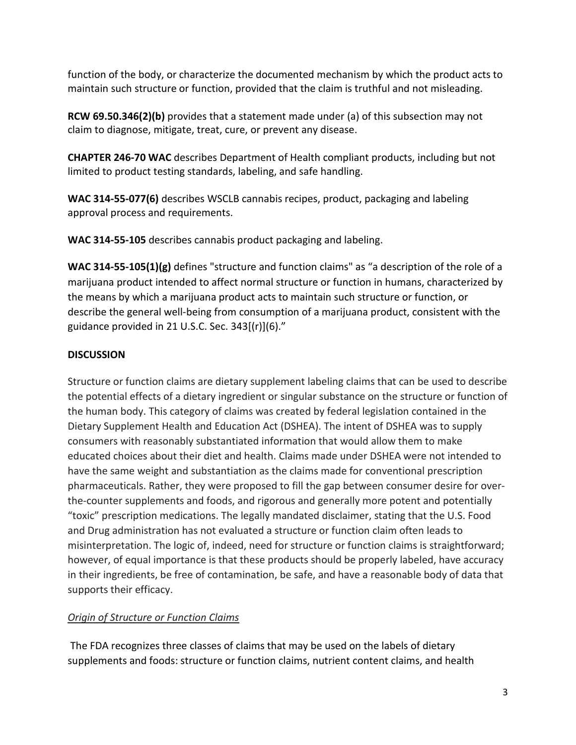function of the body, or characterize the documented mechanism by which the product acts to maintain such structure or function, provided that the claim is truthful and not misleading.

**RCW 69.50.346(2)(b)** provides that a statement made under (a) of this subsection may not claim to diagnose, mitigate, treat, cure, or prevent any disease.

**CHAPTER 246-70 WAC** describes Department of Health compliant products, including but not limited to product testing standards, labeling, and safe handling.

**WAC 314-55-077(6)** describes WSCLB cannabis recipes, product, packaging and labeling approval process and requirements.

**WAC 314-55-105** describes cannabis product packaging and labeling.

**WAC 314-55-105(1)(g)** defines "structure and function claims" as "a description of the role of a marijuana product intended to affect normal structure or function in humans, characterized by the means by which a marijuana product acts to maintain such structure or function, or describe the general well-being from consumption of a marijuana product, consistent with the guidance provided in 21 U.S.C. Sec. 343[(r)](6)."

## **DISCUSSION**

Structure or function claims are dietary supplement labeling claims that can be used to describe the potential effects of a dietary ingredient or singular substance on the structure or function of the human body. This category of claims was created by federal legislation contained in the Dietary Supplement Health and Education Act (DSHEA). The intent of DSHEA was to supply consumers with reasonably substantiated information that would allow them to make educated choices about their diet and health. Claims made under DSHEA were not intended to have the same weight and substantiation as the claims made for conventional prescription pharmaceuticals. Rather, they were proposed to fill the gap between consumer desire for overthe-counter supplements and foods, and rigorous and generally more potent and potentially "toxic" prescription medications. The legally mandated disclaimer, stating that the U.S. Food and Drug administration has not evaluated a structure or function claim often leads to misinterpretation. The logic of, indeed, need for structure or function claims is straightforward; however, of equal importance is that these products should be properly labeled, have accuracy in their ingredients, be free of contamination, be safe, and have a reasonable body of data that supports their efficacy.

## *Origin of Structure or Function Claims*

The FDA recognizes three classes of claims that may be used on the labels of dietary supplements and foods: structure or function claims, nutrient content claims, and health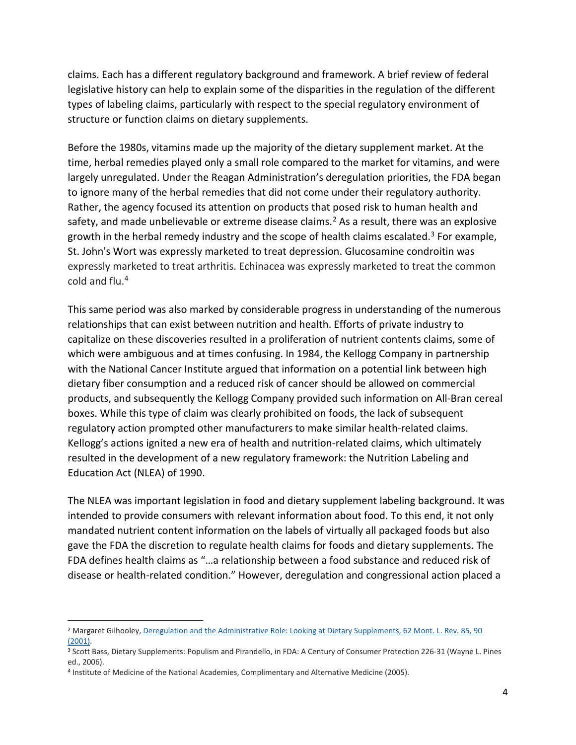claims. Each has a different regulatory background and framework. A brief review of federal legislative history can help to explain some of the disparities in the regulation of the different types of labeling claims, particularly with respect to the special regulatory environment of structure or function claims on dietary supplements.

Before the 1980s, vitamins made up the majority of the dietary supplement market. At the time, herbal remedies played only a small role compared to the market for vitamins, and were largely unregulated. Under the Reagan Administration's deregulation priorities, the FDA began to ignore many of the herbal remedies that did not come under their regulatory authority. Rather, the agency focused its attention on products that posed risk to human health and safety, and made unbelievable or extreme disease claims.<sup>[2](#page-4-0)</sup> As a result, there was an explosive growth in the herbal remedy industry and the scope of health claims escalated.<sup>[3](#page-4-1)</sup> For example, St. John's Wort was expressly marketed to treat depression. Glucosamine condroitin was expressly marketed to treat arthritis. Echinacea was expressly marketed to treat the common cold and flu[.4](#page-4-2)

This same period was also marked by considerable progress in understanding of the numerous relationships that can exist between nutrition and health. Efforts of private industry to capitalize on these discoveries resulted in a proliferation of nutrient contents claims, some of which were ambiguous and at times confusing. In 1984, the Kellogg Company in partnership with the National Cancer Institute argued that information on a potential link between high dietary fiber consumption and a reduced risk of cancer should be allowed on commercial products, and subsequently the Kellogg Company provided such information on All-Bran cereal boxes. While this type of claim was clearly prohibited on foods, the lack of subsequent regulatory action prompted other manufacturers to make similar health-related claims. Kellogg's actions ignited a new era of health and nutrition-related claims, which ultimately resulted in the development of a new regulatory framework: the Nutrition Labeling and Education Act (NLEA) of 1990.

The NLEA was important legislation in food and dietary supplement labeling background. It was intended to provide consumers with relevant information about food. To this end, it not only mandated nutrient content information on the labels of virtually all packaged foods but also gave the FDA the discretion to regulate health claims for foods and dietary supplements. The FDA defines health claims as "…a relationship between a food substance and reduced risk of disease or health-related condition." However, deregulation and congressional action placed a

<span id="page-4-0"></span> <sup>2</sup> Margaret Gilhooley, [Deregulation and the Administrative Role: Looking at Dietary Supplements, 62 Mont. L. Rev. 85, 90](https://1.next.westlaw.com/Link/Document/FullText?findType=Y&serNum=0284394197&pubNum=3085&originatingDoc=Ib55b547ab4f211de9b8c850332338889&refType=LR&fi=co_pp_sp_3085_90&originationContext=document&transitionType=DocumentItem&contextData=(sc.History*oc.Search)#co_pp_sp_3085_90)  [\(2001\).](https://1.next.westlaw.com/Link/Document/FullText?findType=Y&serNum=0284394197&pubNum=3085&originatingDoc=Ib55b547ab4f211de9b8c850332338889&refType=LR&fi=co_pp_sp_3085_90&originationContext=document&transitionType=DocumentItem&contextData=(sc.History*oc.Search)#co_pp_sp_3085_90)

<span id="page-4-1"></span><sup>&</sup>lt;sup>3</sup> Scott Bass, Dietary Supplements: Populism and Pirandello, in FDA: A Century of Consumer Protection 226-31 (Wayne L. Pines ed., 2006).

<span id="page-4-2"></span><sup>4</sup> Institute of Medicine of the National Academies, Complimentary and Alternative Medicine (2005).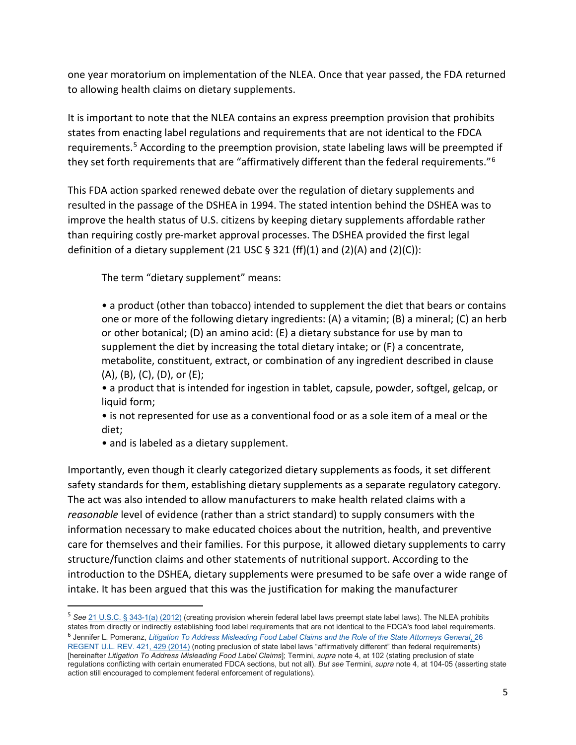one year moratorium on implementation of the NLEA. Once that year passed, the FDA returned to allowing health claims on dietary supplements.

It is important to note that the NLEA contains an express preemption provision that prohibits states from enacting label regulations and requirements that are not identical to the FDCA requirements.[5](#page-5-0) According to the preemption provision, state labeling laws will be preempted if they set forth requirements that are "affirmatively different than the federal requirements."[6](#page-5-1)

This FDA action sparked renewed debate over the regulation of dietary supplements and resulted in the passage of the DSHEA in 1994. The stated intention behind the DSHEA was to improve the health status of U.S. citizens by keeping dietary supplements affordable rather than requiring costly pre-market approval processes. The DSHEA provided the first legal definition of a dietary supplement (21 USC  $\S$  321 (ff)(1) and (2)(A) and (2)(C)):

The term "dietary supplement" means:

• a product (other than tobacco) intended to supplement the diet that bears or contains one or more of the following dietary ingredients: (A) a vitamin; (B) a mineral; (C) an herb or other botanical; (D) an amino acid: (E) a dietary substance for use by man to supplement the diet by increasing the total dietary intake; or (F) a concentrate, metabolite, constituent, extract, or combination of any ingredient described in clause (A), (B), (C), (D), or (E);

• a product that is intended for ingestion in tablet, capsule, powder, softgel, gelcap, or liquid form;

• is not represented for use as a conventional food or as a sole item of a meal or the diet;

• and is labeled as a dietary supplement.

Importantly, even though it clearly categorized dietary supplements as foods, it set different safety standards for them, establishing dietary supplements as a separate regulatory category. The act was also intended to allow manufacturers to make health related claims with a *reasonable* level of evidence (rather than a strict standard) to supply consumers with the information necessary to make educated choices about the nutrition, health, and preventive care for themselves and their families. For this purpose, it allowed dietary supplements to carry structure/function claims and other statements of nutritional support. According to the introduction to the DSHEA, dietary supplements were presumed to be safe over a wide range of intake. It has been argued that this was the justification for making the manufacturer

<span id="page-5-1"></span><span id="page-5-0"></span> <sup>5</sup> *See* [21 U.S.C. § 343-1\(a\) \(2012\)](https://1.next.westlaw.com/Link/Document/FullText?findType=L&pubNum=1000546&cite=21USCAS343-1&originatingDoc=Ie33d34130ea511e698dc8b09b4f043e0&refType=RB&originationContext=document&transitionType=DocumentItem&contextData=(sc.Folder*cid.5443410ec7154049bcb7e5f6e18b5d31*oc.Search)#co_pp_8b3b0000958a4) (creating provision wherein federal label laws preempt state label laws). The NLEA prohibits states from directly or indirectly establishing food label requirements that are not identical to the FDCA's food label requirements. <sup>6</sup> Jennifer L. Pomeranz, *[Litigation To Address Misleading Food Label Claims and the Role of the State Attorneys General](https://1.next.westlaw.com/Link/Document/FullText?findType=Y&serNum=0403044236&pubNum=0101877&originatingDoc=Ie33d34130ea511e698dc8b09b4f043e0&refType=LR&fi=co_pp_sp_101877_429&originationContext=document&transitionType=DocumentItem&contextData=(sc.Folder*cid.5443410ec7154049bcb7e5f6e18b5d31*oc.Search)#co_pp_sp_101877_429)*, 26 [REGENT U.L. REV. 421, 429 \(2014\)](https://1.next.westlaw.com/Link/Document/FullText?findType=Y&serNum=0403044236&pubNum=0101877&originatingDoc=Ie33d34130ea511e698dc8b09b4f043e0&refType=LR&fi=co_pp_sp_101877_429&originationContext=document&transitionType=DocumentItem&contextData=(sc.Folder*cid.5443410ec7154049bcb7e5f6e18b5d31*oc.Search)#co_pp_sp_101877_429) (noting preclusion of state label laws "affirmatively different" than federal requirements) [hereinafter *Litigation To Address Misleading Food Label Claims*]; Termini, *supra* note 4, at 102 (stating preclusion of state regulations conflicting with certain enumerated FDCA sections, but not all). *But see* Termini, *supra* note 4, at 104-05 (asserting state action still encouraged to complement federal enforcement of regulations).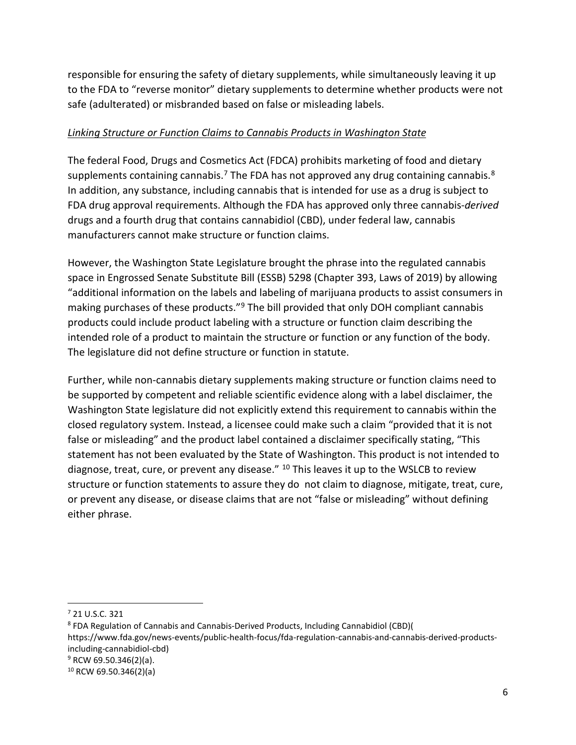responsible for ensuring the safety of dietary supplements, while simultaneously leaving it up to the FDA to "reverse monitor" dietary supplements to determine whether products were not safe (adulterated) or misbranded based on false or misleading labels.

## *Linking Structure or Function Claims to Cannabis Products in Washington State*

The federal Food, Drugs and Cosmetics Act (FDCA) prohibits marketing of food and dietary supplements containing cannabis.<sup>[7](#page-6-0)</sup> The FDA has not approved any drug containing cannabis.<sup>[8](#page-6-1)</sup> In addition, any substance, including cannabis that is intended for use as a drug is subject to FDA drug approval requirements. Although the FDA has approved only three cannabis-*derived* drugs and a fourth drug that contains cannabidiol (CBD), under federal law, cannabis manufacturers cannot make structure or function claims.

However, the Washington State Legislature brought the phrase into the regulated cannabis space in Engrossed Senate Substitute Bill (ESSB) 5298 (Chapter 393, Laws of 2019) by allowing "additional information on the labels and labeling of marijuana products to assist consumers in making purchases of these products."<sup>[9](#page-6-2)</sup> The bill provided that only DOH compliant cannabis products could include product labeling with a structure or function claim describing the intended role of a product to maintain the structure or function or any function of the body. The legislature did not define structure or function in statute.

Further, while non-cannabis dietary supplements making structure or function claims need to be supported by competent and reliable scientific evidence along with a label disclaimer, the Washington State legislature did not explicitly extend this requirement to cannabis within the closed regulatory system. Instead, a licensee could make such a claim "provided that it is not false or misleading" and the product label contained a disclaimer specifically stating, "This statement has not been evaluated by the State of Washington. This product is not intended to diagnose, treat, cure, or prevent any disease."  $10$  This leaves it up to the WSLCB to review structure or function statements to assure they do not claim to diagnose, mitigate, treat, cure, or prevent any disease, or disease claims that are not "false or misleading" without defining either phrase.

<span id="page-6-0"></span> $7$  21 U.S.C. 321

<span id="page-6-1"></span><sup>8</sup> FDA Regulation of Cannabis and Cannabis-Derived Products, Including Cannabidiol (CBD)( https://www.fda.gov/news-events/public-health-focus/fda-regulation-cannabis-and-cannabis-derived-productsincluding-cannabidiol-cbd)  $9$  RCW 69.50.346(2)(a).

<span id="page-6-3"></span><span id="page-6-2"></span> $10$  RCW 69.50.346(2)(a)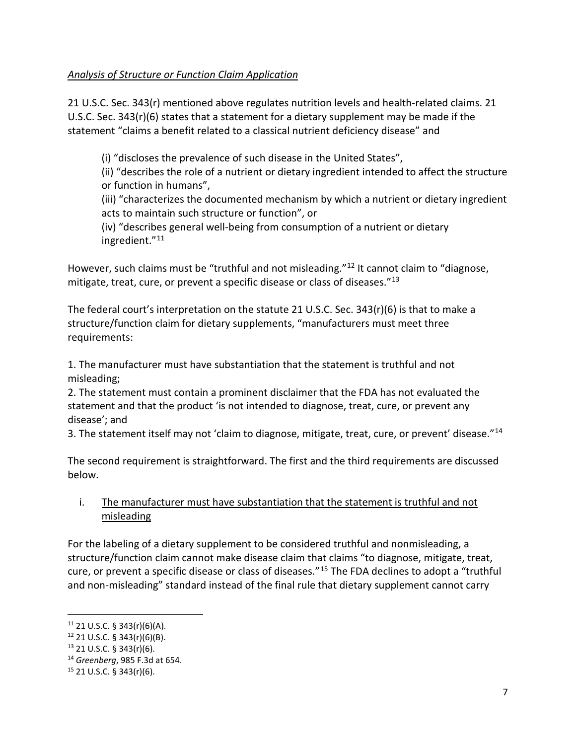## *Analysis of Structure or Function Claim Application*

21 U.S.C. Sec. 343(r) mentioned above regulates nutrition levels and health-related claims. 21 U.S.C. Sec. 343(r)(6) states that a statement for a dietary supplement may be made if the statement "claims a benefit related to a classical nutrient deficiency disease" and

(i) "discloses the prevalence of such disease in the United States",

(ii) "describes the role of a nutrient or dietary ingredient intended to affect the structure or function in humans",

(iii) "characterizes the documented mechanism by which a nutrient or dietary ingredient acts to maintain such structure or function", or

(iv) "describes general well-being from consumption of a nutrient or dietary ingredient."[11](#page-7-0)

However, such claims must be "truthful and not misleading."<sup>[12](#page-7-1)</sup> It cannot claim to "diagnose, mitigate, treat, cure, or prevent a specific disease or class of diseases. $"^{13}$  $"^{13}$  $"^{13}$ 

The federal court's interpretation on the statute 21 U.S.C. Sec. 343(r)(6) is that to make a structure/function claim for dietary supplements, "manufacturers must meet three requirements:

1. The manufacturer must have substantiation that the statement is truthful and not misleading;

2. The statement must contain a prominent disclaimer that the FDA has not evaluated the statement and that the product 'is not intended to diagnose, treat, cure, or prevent any disease'; and

3. The statement itself may not 'claim to diagnose, mitigate, treat, cure, or prevent' disease."[14](#page-7-3)

The second requirement is straightforward. The first and the third requirements are discussed below.

## i. The manufacturer must have substantiation that the statement is truthful and not misleading

For the labeling of a dietary supplement to be considered truthful and nonmisleading, a structure/function claim cannot make disease claim that claims "to diagnose, mitigate, treat, cure, or prevent a specific disease or class of diseases."[15](#page-7-4) The FDA declines to adopt a "truthful and non-misleading" standard instead of the final rule that dietary supplement cannot carry

<span id="page-7-0"></span> $11$  21 U.S.C. § 343(r)(6)(A).

<span id="page-7-1"></span> $12$  21 U.S.C. § 343(r)(6)(B).

<span id="page-7-2"></span><sup>13</sup> 21 U.S.C. § 343(r)(6).

<span id="page-7-3"></span><sup>14</sup> *Greenberg*, 985 F.3d at 654.

<span id="page-7-4"></span> $15$  21 U.S.C. § 343(r)(6).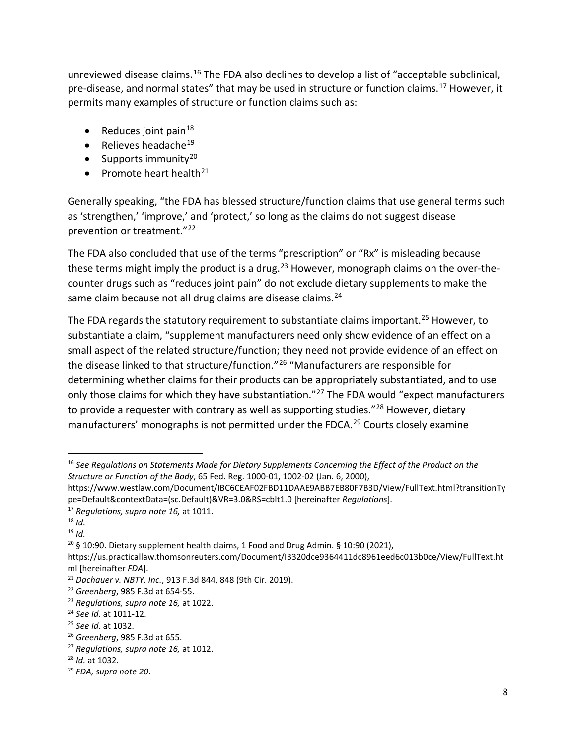unreviewed disease claims.<sup>[16](#page-8-0)</sup> The FDA also declines to develop a list of "acceptable subclinical, pre-disease, and normal states" that may be used in structure or function claims.<sup>[17](#page-8-1)</sup> However, it permits many examples of structure or function claims such as:

- Reduces joint pain $18$
- $\bullet$  Relieves headache<sup>[19](#page-8-3)</sup>
- Supports immunity<sup>[20](#page-8-4)</sup>
- Promote heart health $^{21}$  $^{21}$  $^{21}$

Generally speaking, "the FDA has blessed structure/function claims that use general terms such as 'strengthen,' 'improve,' and 'protect,' so long as the claims do not suggest disease prevention or treatment."[22](#page-8-6)

The FDA also concluded that use of the terms "prescription" or "Rx" is misleading because these terms might imply the product is a drug.<sup>[23](#page-8-7)</sup> However, monograph claims on the over-thecounter drugs such as "reduces joint pain" do not exclude dietary supplements to make the same claim because not all drug claims are disease claims. $24$ 

The FDA regards the statutory requirement to substantiate claims important.<sup>[25](#page-8-9)</sup> However, to substantiate a claim, "supplement manufacturers need only show evidence of an effect on a small aspect of the related structure/function; they need not provide evidence of an effect on the disease linked to that structure/function."[26](#page-8-10) "Manufacturers are responsible for determining whether claims for their products can be appropriately substantiated, and to use only those claims for which they have substantiation."<sup>[27](#page-8-11)</sup> The FDA would "expect manufacturers to provide a requester with contrary as well as supporting studies."<sup>[28](#page-8-12)</sup> However, dietary manufacturers' monographs is not permitted under the FDCA.<sup>[29](#page-8-13)</sup> Courts closely examine

<span id="page-8-0"></span> <sup>16</sup> *See Regulations on Statements Made for Dietary Supplements Concerning the Effect of the Product on the Structure or Function of the Body*, 65 Fed. Reg. 1000-01, 1002-02 (Jan. 6, 2000),

https://www.westlaw.com/Document/IBC6CEAF02FBD11DAAE9ABB7EB80F7B3D/View/FullText.html?transitionTy pe=Default&contextData=(sc.Default)&VR=3.0&RS=cblt1.0 [hereinafter *Regulations*].

<span id="page-8-1"></span><sup>17</sup> *Regulations, supra note 16,* at 1011.

<span id="page-8-2"></span> $18$  *Id.* 

<span id="page-8-3"></span><sup>19</sup> *Id.*

<span id="page-8-4"></span> $20\,$ § 10:90. Dietary supplement health claims, 1 Food and Drug Admin. § 10:90 (2021),

https://us.practicallaw.thomsonreuters.com/Document/I3320dce9364411dc8961eed6c013b0ce/View/FullText.ht ml [hereinafter *FDA*].

<span id="page-8-5"></span><sup>21</sup> *Dachauer v. NBTY, Inc.*, 913 F.3d 844, 848 (9th Cir. 2019).

<span id="page-8-6"></span><sup>22</sup> *Greenberg*, 985 F.3d at 654-55.

<span id="page-8-7"></span><sup>23</sup> *Regulations, supra note 16,* at 1022.

<span id="page-8-8"></span><sup>24</sup> *See Id.* at 1011-12.

<span id="page-8-9"></span><sup>25</sup> *See Id.* at 1032.

<span id="page-8-10"></span><sup>26</sup> *Greenberg*, 985 F.3d at 655.

<span id="page-8-11"></span><sup>27</sup> *Regulations, supra note 16,* at 1012.

<span id="page-8-12"></span><sup>28</sup> *Id.* at 1032.

<span id="page-8-13"></span><sup>29</sup> *FDA, supra note 20*.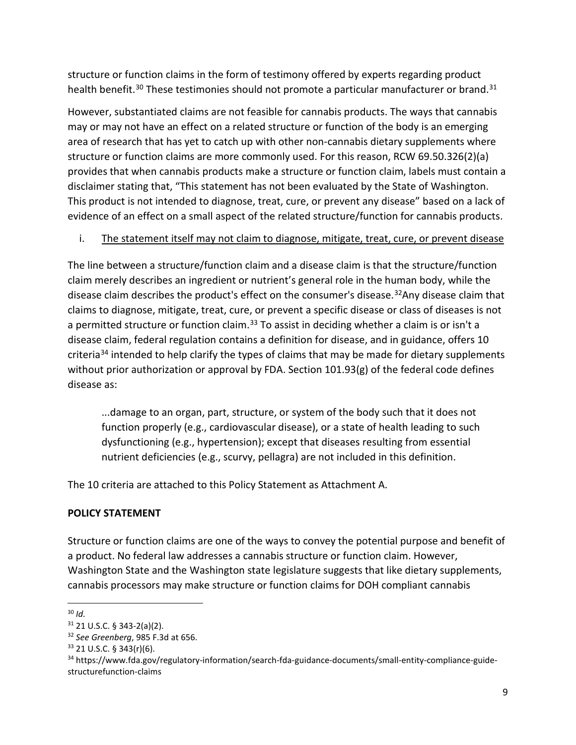structure or function claims in the form of testimony offered by experts regarding product health benefit.<sup>[30](#page-9-0)</sup> These testimonies should not promote a particular manufacturer or brand.<sup>[31](#page-9-1)</sup>

However, substantiated claims are not feasible for cannabis products. The ways that cannabis may or may not have an effect on a related structure or function of the body is an emerging area of research that has yet to catch up with other non-cannabis dietary supplements where structure or function claims are more commonly used. For this reason, RCW 69.50.326(2)(a) provides that when cannabis products make a structure or function claim, labels must contain a disclaimer stating that, "This statement has not been evaluated by the State of Washington. This product is not intended to diagnose, treat, cure, or prevent any disease" based on a lack of evidence of an effect on a small aspect of the related structure/function for cannabis products.

## i. The statement itself may not claim to diagnose, mitigate, treat, cure, or prevent disease

The line between a structure/function claim and a disease claim is that the structure/function claim merely describes an ingredient or nutrient's general role in the human body, while the disease claim describes the product's effect on the consumer's disease.<sup>32</sup>Any disease claim that claims to diagnose, mitigate, treat, cure, or prevent a specific disease or class of diseases is not a permitted structure or function claim.<sup>[33](#page-9-3)</sup> To assist in deciding whether a claim is or isn't a disease claim, federal regulation contains a definition for disease, and in guidance, offers 10 criteria<sup>[34](#page-9-4)</sup> intended to help clarify the types of claims that may be made for dietary supplements without prior authorization or approval by FDA. Section 101.93(g) of the federal code defines disease as:

...damage to an organ, part, structure, or system of the body such that it does not function properly (e.g., cardiovascular disease), or a state of health leading to such dysfunctioning (e.g., hypertension); except that diseases resulting from essential nutrient deficiencies (e.g., scurvy, pellagra) are not included in this definition.

The 10 criteria are attached to this Policy Statement as Attachment A.

## **POLICY STATEMENT**

Structure or function claims are one of the ways to convey the potential purpose and benefit of a product. No federal law addresses a cannabis structure or function claim. However, Washington State and the Washington state legislature suggests that like dietary supplements, cannabis processors may make structure or function claims for DOH compliant cannabis

<span id="page-9-0"></span> <sup>30</sup> *Id.*

<span id="page-9-1"></span> $31$  21 U.S.C. § 343-2(a)(2).

<span id="page-9-2"></span><sup>32</sup> *See Greenberg*, 985 F.3d at 656.

<span id="page-9-3"></span><sup>33</sup> 21 U.S.C. § 343(r)(6).

<span id="page-9-4"></span><sup>34</sup> https://www.fda.gov/regulatory-information/search-fda-guidance-documents/small-entity-compliance-guidestructurefunction-claims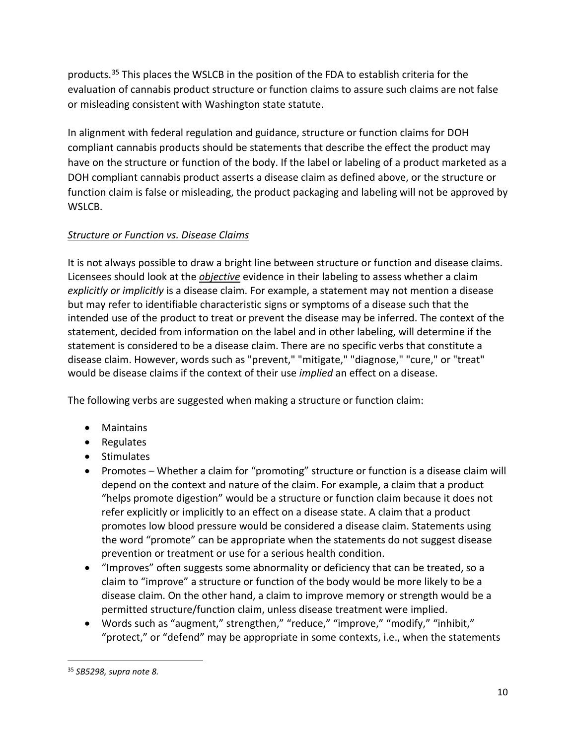products. [35](#page-10-0) This places the WSLCB in the position of the FDA to establish criteria for the evaluation of cannabis product structure or function claims to assure such claims are not false or misleading consistent with Washington state statute.

In alignment with federal regulation and guidance, structure or function claims for DOH compliant cannabis products should be statements that describe the effect the product may have on the structure or function of the body. If the label or labeling of a product marketed as a DOH compliant cannabis product asserts a disease claim as defined above, or the structure or function claim is false or misleading, the product packaging and labeling will not be approved by WSLCB.

## *Structure or Function vs. Disease Claims*

It is not always possible to draw a bright line between structure or function and disease claims. Licensees should look at the *objective* evidence in their labeling to assess whether a claim *explicitly or implicitly* is a disease claim. For example, a statement may not mention a disease but may refer to identifiable characteristic signs or symptoms of a disease such that the intended use of the product to treat or prevent the disease may be inferred. The context of the statement, decided from information on the label and in other labeling, will determine if the statement is considered to be a disease claim. There are no specific verbs that constitute a disease claim. However, words such as "prevent," "mitigate," "diagnose," "cure," or "treat" would be disease claims if the context of their use *implied* an effect on a disease.

The following verbs are suggested when making a structure or function claim:

- Maintains
- Regulates
- Stimulates
- Promotes Whether a claim for "promoting" structure or function is a disease claim will depend on the context and nature of the claim. For example, a claim that a product "helps promote digestion" would be a structure or function claim because it does not refer explicitly or implicitly to an effect on a disease state. A claim that a product promotes low blood pressure would be considered a disease claim. Statements using the word "promote" can be appropriate when the statements do not suggest disease prevention or treatment or use for a serious health condition.
- "Improves" often suggests some abnormality or deficiency that can be treated, so a claim to "improve" a structure or function of the body would be more likely to be a disease claim. On the other hand, a claim to improve memory or strength would be a permitted structure/function claim, unless disease treatment were implied.
- Words such as "augment," strengthen," "reduce," "improve," "modify," "inhibit," "protect," or "defend" may be appropriate in some contexts, i.e., when the statements

<span id="page-10-0"></span> <sup>35</sup> *SB5298, supra note 8.*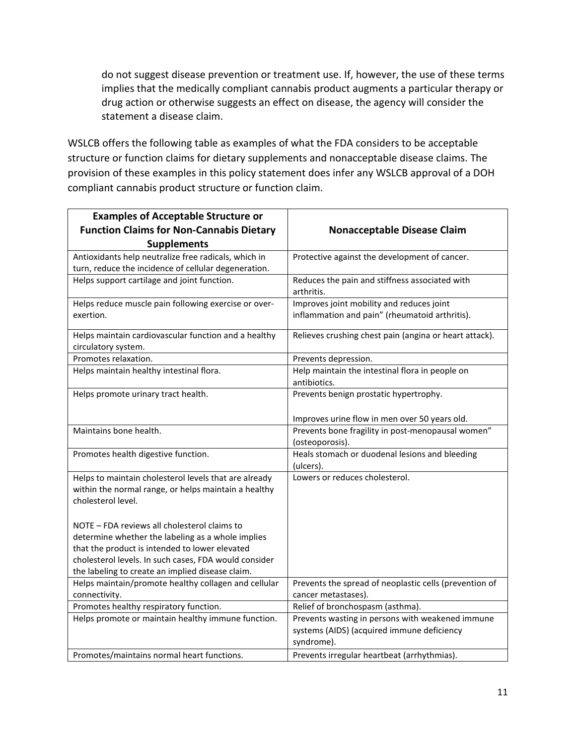do not suggest disease prevention or treatment use. If, however, the use of these terms implies that the medically compliant cannabis product augments a particular therapy or drug action or otherwise suggests an effect on disease, the agency will consider the statement a disease claim.

WSLCB offers the following table as examples of what the FDA considers to be acceptable structure or function claims for dietary supplements and nonacceptable disease claims. The provision of these examples in this policy statement does infer any WSLCB approval of a DOH compliant cannabis product structure or function claim.

| <b>Examples of Acceptable Structure or</b>                                                                                          |                                                                                             |
|-------------------------------------------------------------------------------------------------------------------------------------|---------------------------------------------------------------------------------------------|
| <b>Function Claims for Non-Cannabis Dietary</b>                                                                                     | <b>Nonacceptable Disease Claim</b>                                                          |
| <b>Supplements</b>                                                                                                                  |                                                                                             |
| Antioxidants help neutralize free radicals, which in                                                                                | Protective against the development of cancer.                                               |
| turn, reduce the incidence of cellular degeneration.                                                                                |                                                                                             |
| Helps support cartilage and joint function.                                                                                         | Reduces the pain and stiffness associated with<br>arthritis.                                |
| Helps reduce muscle pain following exercise or over-<br>exertion.                                                                   | Improves joint mobility and reduces joint<br>inflammation and pain" (rheumatoid arthritis). |
| Helps maintain cardiovascular function and a healthy<br>circulatory system.                                                         | Relieves crushing chest pain (angina or heart attack).                                      |
| Promotes relaxation.                                                                                                                | Prevents depression.                                                                        |
| Helps maintain healthy intestinal flora.                                                                                            | Help maintain the intestinal flora in people on<br>antibiotics.                             |
| Helps promote urinary tract health.                                                                                                 | Prevents benign prostatic hypertrophy.<br>Improves urine flow in men over 50 years old.     |
| Maintains bone health.                                                                                                              | Prevents bone fragility in post-menopausal women"<br>(osteoporosis).                        |
| Promotes health digestive function.                                                                                                 | Heals stomach or duodenal lesions and bleeding<br>(ulcers).                                 |
| Helps to maintain cholesterol levels that are already<br>within the normal range, or helps maintain a healthy<br>cholesterol level. | Lowers or reduces cholesterol.                                                              |
| NOTE - FDA reviews all cholesterol claims to                                                                                        |                                                                                             |
| determine whether the labeling as a whole implies<br>that the product is intended to lower elevated                                 |                                                                                             |
| cholesterol levels. In such cases, FDA would consider                                                                               |                                                                                             |
| the labeling to create an implied disease claim.                                                                                    |                                                                                             |
| Helps maintain/promote healthy collagen and cellular                                                                                | Prevents the spread of neoplastic cells (prevention of                                      |
| connectivity.                                                                                                                       | cancer metastases).                                                                         |
| Promotes healthy respiratory function.                                                                                              | Relief of bronchospasm (asthma).                                                            |
| Helps promote or maintain healthy immune function.                                                                                  | Prevents wasting in persons with weakened immune                                            |
|                                                                                                                                     | systems (AIDS) (acquired immune deficiency                                                  |
|                                                                                                                                     | syndrome).                                                                                  |
| Promotes/maintains normal heart functions.                                                                                          | Prevents irregular heartbeat (arrhythmias).                                                 |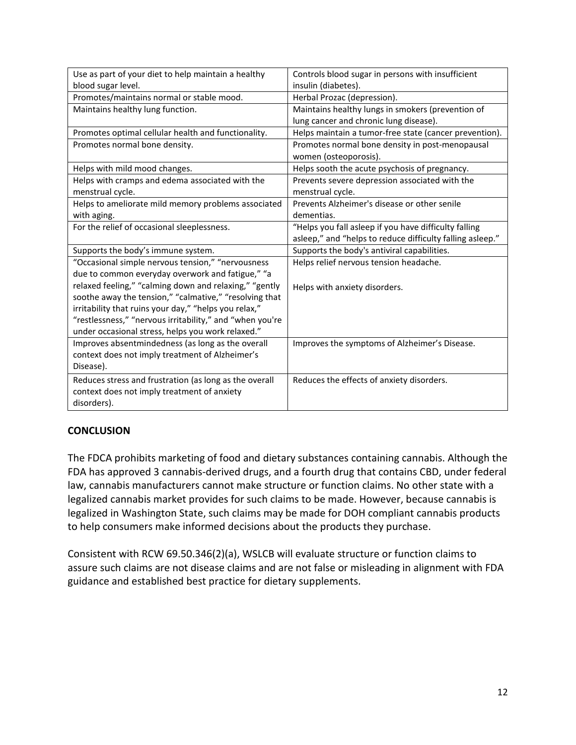| Use as part of your diet to help maintain a healthy      | Controls blood sugar in persons with insufficient         |
|----------------------------------------------------------|-----------------------------------------------------------|
| blood sugar level.                                       | insulin (diabetes).                                       |
| Promotes/maintains normal or stable mood.                | Herbal Prozac (depression).                               |
| Maintains healthy lung function.                         | Maintains healthy lungs in smokers (prevention of         |
|                                                          | lung cancer and chronic lung disease).                    |
| Promotes optimal cellular health and functionality.      | Helps maintain a tumor-free state (cancer prevention).    |
| Promotes normal bone density.                            | Promotes normal bone density in post-menopausal           |
|                                                          | women (osteoporosis).                                     |
| Helps with mild mood changes.                            | Helps sooth the acute psychosis of pregnancy.             |
| Helps with cramps and edema associated with the          | Prevents severe depression associated with the            |
| menstrual cycle.                                         | menstrual cycle.                                          |
| Helps to ameliorate mild memory problems associated      | Prevents Alzheimer's disease or other senile              |
| with aging.                                              | dementias.                                                |
| For the relief of occasional sleeplessness.              | "Helps you fall asleep if you have difficulty falling     |
|                                                          | asleep," and "helps to reduce difficulty falling asleep." |
| Supports the body's immune system.                       | Supports the body's antiviral capabilities.               |
| "Occasional simple nervous tension," "nervousness        | Helps relief nervous tension headache.                    |
| due to common everyday overwork and fatigue," "a         |                                                           |
| relaxed feeling," "calming down and relaxing," "gently   | Helps with anxiety disorders.                             |
| soothe away the tension," "calmative," "resolving that   |                                                           |
| irritability that ruins your day," "helps you relax,"    |                                                           |
| "restlessness," "nervous irritability," and "when you're |                                                           |
| under occasional stress, helps you work relaxed."        |                                                           |
| Improves absentmindedness (as long as the overall        | Improves the symptoms of Alzheimer's Disease.             |
| context does not imply treatment of Alzheimer's          |                                                           |
| Disease).                                                |                                                           |
| Reduces stress and frustration (as long as the overall   | Reduces the effects of anxiety disorders.                 |
| context does not imply treatment of anxiety              |                                                           |
| disorders).                                              |                                                           |

## **CONCLUSION**

The FDCA prohibits marketing of food and dietary substances containing cannabis. Although the FDA has approved 3 cannabis-derived drugs, and a fourth drug that contains CBD, under federal law, cannabis manufacturers cannot make structure or function claims. No other state with a legalized cannabis market provides for such claims to be made. However, because cannabis is legalized in Washington State, such claims may be made for DOH compliant cannabis products to help consumers make informed decisions about the products they purchase.

Consistent with RCW 69.50.346(2)(a), WSLCB will evaluate structure or function claims to assure such claims are not disease claims and are not false or misleading in alignment with FDA guidance and established best practice for dietary supplements.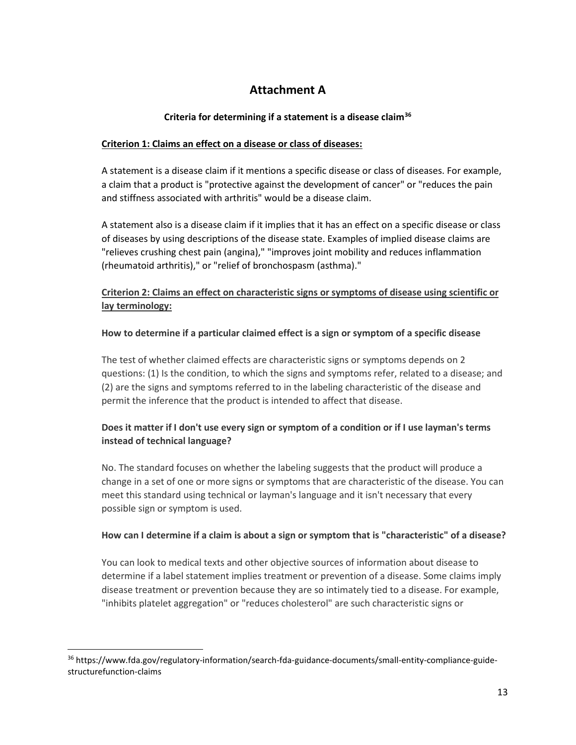# **Attachment A**

#### **Criteria for determining if a statement is a disease claim[36](#page-13-0)**

#### **Criterion 1: Claims an effect on a disease or class of diseases:**

A statement is a disease claim if it mentions a specific disease or class of diseases. For example, a claim that a product is "protective against the development of cancer" or "reduces the pain and stiffness associated with arthritis" would be a disease claim.

A statement also is a disease claim if it implies that it has an effect on a specific disease or class of diseases by using descriptions of the disease state. Examples of implied disease claims are "relieves crushing chest pain (angina)," "improves joint mobility and reduces inflammation (rheumatoid arthritis)," or "relief of bronchospasm (asthma)."

## **Criterion 2: Claims an effect on characteristic signs or symptoms of disease using scientific or lay terminology:**

#### **How to determine if a particular claimed effect is a sign or symptom of a specific disease**

The test of whether claimed effects are characteristic signs or symptoms depends on 2 questions: (1) Is the condition, to which the signs and symptoms refer, related to a disease; and (2) are the signs and symptoms referred to in the labeling characteristic of the disease and permit the inference that the product is intended to affect that disease.

## **Does it matter if I don't use every sign or symptom of a condition or if I use layman's terms instead of technical language?**

No. The standard focuses on whether the labeling suggests that the product will produce a change in a set of one or more signs or symptoms that are characteristic of the disease. You can meet this standard using technical or layman's language and it isn't necessary that every possible sign or symptom is used.

#### **How can I determine if a claim is about a sign or symptom that is "characteristic" of a disease?**

You can look to medical texts and other objective sources of information about disease to determine if a label statement implies treatment or prevention of a disease. Some claims imply disease treatment or prevention because they are so intimately tied to a disease. For example, "inhibits platelet aggregation" or "reduces cholesterol" are such characteristic signs or

<span id="page-13-0"></span> <sup>36</sup> https://www.fda.gov/regulatory-information/search-fda-guidance-documents/small-entity-compliance-guidestructurefunction-claims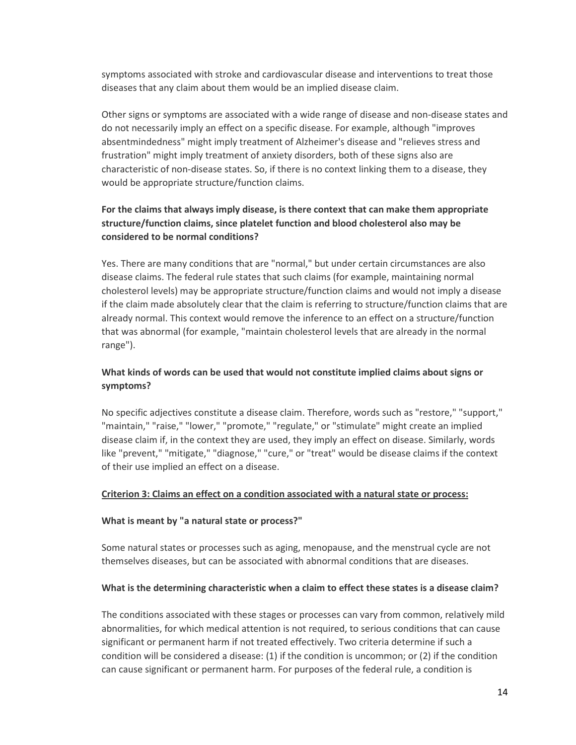symptoms associated with stroke and cardiovascular disease and interventions to treat those diseases that any claim about them would be an implied disease claim.

Other signs or symptoms are associated with a wide range of disease and non-disease states and do not necessarily imply an effect on a specific disease. For example, although "improves absentmindedness" might imply treatment of Alzheimer's disease and "relieves stress and frustration" might imply treatment of anxiety disorders, both of these signs also are characteristic of non-disease states. So, if there is no context linking them to a disease, they would be appropriate structure/function claims.

## **For the claims that always imply disease, is there context that can make them appropriate structure/function claims, since platelet function and blood cholesterol also may be considered to be normal conditions?**

Yes. There are many conditions that are "normal," but under certain circumstances are also disease claims. The federal rule states that such claims (for example, maintaining normal cholesterol levels) may be appropriate structure/function claims and would not imply a disease if the claim made absolutely clear that the claim is referring to structure/function claims that are already normal. This context would remove the inference to an effect on a structure/function that was abnormal (for example, "maintain cholesterol levels that are already in the normal range").

#### **What kinds of words can be used that would not constitute implied claims about signs or symptoms?**

No specific adjectives constitute a disease claim. Therefore, words such as "restore," "support," "maintain," "raise," "lower," "promote," "regulate," or "stimulate" might create an implied disease claim if, in the context they are used, they imply an effect on disease. Similarly, words like "prevent," "mitigate," "diagnose," "cure," or "treat" would be disease claims if the context of their use implied an effect on a disease.

#### **Criterion 3: Claims an effect on a condition associated with a natural state or process:**

#### **What is meant by "a natural state or process?"**

Some natural states or processes such as aging, menopause, and the menstrual cycle are not themselves diseases, but can be associated with abnormal conditions that are diseases.

#### **What is the determining characteristic when a claim to effect these states is a disease claim?**

The conditions associated with these stages or processes can vary from common, relatively mild abnormalities, for which medical attention is not required, to serious conditions that can cause significant or permanent harm if not treated effectively. Two criteria determine if such a condition will be considered a disease: (1) if the condition is uncommon; or (2) if the condition can cause significant or permanent harm. For purposes of the federal rule, a condition is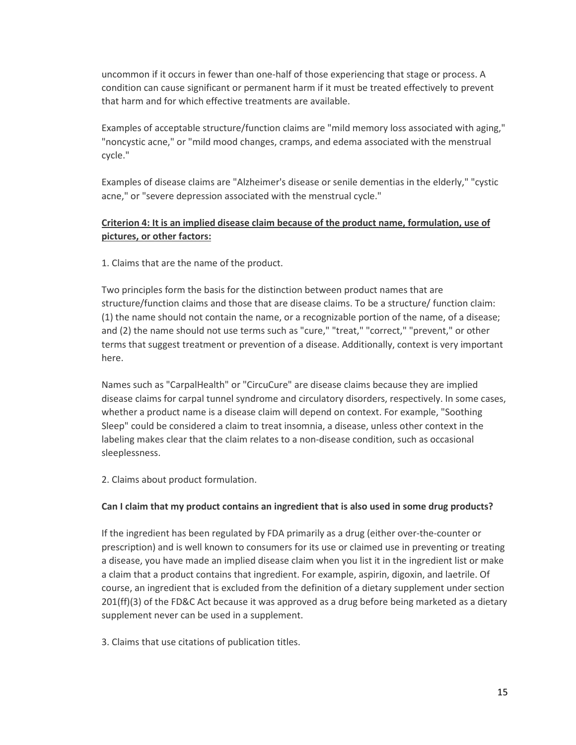uncommon if it occurs in fewer than one-half of those experiencing that stage or process. A condition can cause significant or permanent harm if it must be treated effectively to prevent that harm and for which effective treatments are available.

Examples of acceptable structure/function claims are "mild memory loss associated with aging," "noncystic acne," or "mild mood changes, cramps, and edema associated with the menstrual cycle."

Examples of disease claims are "Alzheimer's disease or senile dementias in the elderly," "cystic acne," or "severe depression associated with the menstrual cycle."

## **Criterion 4: It is an implied disease claim because of the product name, formulation, use of pictures, or other factors:**

1. Claims that are the name of the product.

Two principles form the basis for the distinction between product names that are structure/function claims and those that are disease claims. To be a structure/ function claim: (1) the name should not contain the name, or a recognizable portion of the name, of a disease; and (2) the name should not use terms such as "cure," "treat," "correct," "prevent," or other terms that suggest treatment or prevention of a disease. Additionally, context is very important here.

Names such as "CarpalHealth" or "CircuCure" are disease claims because they are implied disease claims for carpal tunnel syndrome and circulatory disorders, respectively. In some cases, whether a product name is a disease claim will depend on context. For example, "Soothing Sleep" could be considered a claim to treat insomnia, a disease, unless other context in the labeling makes clear that the claim relates to a non-disease condition, such as occasional sleeplessness.

2. Claims about product formulation.

#### **Can I claim that my product contains an ingredient that is also used in some drug products?**

If the ingredient has been regulated by FDA primarily as a drug (either over-the-counter or prescription) and is well known to consumers for its use or claimed use in preventing or treating a disease, you have made an implied disease claim when you list it in the ingredient list or make a claim that a product contains that ingredient. For example, aspirin, digoxin, and laetrile. Of course, an ingredient that is excluded from the definition of a dietary supplement under section 201(ff)(3) of the FD&C Act because it was approved as a drug before being marketed as a dietary supplement never can be used in a supplement.

3. Claims that use citations of publication titles.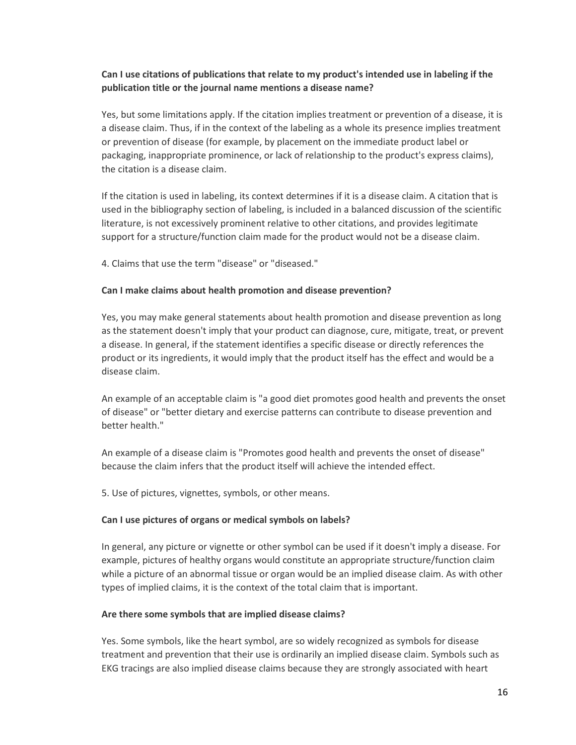#### **Can I use citations of publications that relate to my product's intended use in labeling if the publication title or the journal name mentions a disease name?**

Yes, but some limitations apply. If the citation implies treatment or prevention of a disease, it is a disease claim. Thus, if in the context of the labeling as a whole its presence implies treatment or prevention of disease (for example, by placement on the immediate product label or packaging, inappropriate prominence, or lack of relationship to the product's express claims), the citation is a disease claim.

If the citation is used in labeling, its context determines if it is a disease claim. A citation that is used in the bibliography section of labeling, is included in a balanced discussion of the scientific literature, is not excessively prominent relative to other citations, and provides legitimate support for a structure/function claim made for the product would not be a disease claim.

4. Claims that use the term "disease" or "diseased."

#### **Can I make claims about health promotion and disease prevention?**

Yes, you may make general statements about health promotion and disease prevention as long as the statement doesn't imply that your product can diagnose, cure, mitigate, treat, or prevent a disease. In general, if the statement identifies a specific disease or directly references the product or its ingredients, it would imply that the product itself has the effect and would be a disease claim.

An example of an acceptable claim is "a good diet promotes good health and prevents the onset of disease" or "better dietary and exercise patterns can contribute to disease prevention and better health."

An example of a disease claim is "Promotes good health and prevents the onset of disease" because the claim infers that the product itself will achieve the intended effect.

5. Use of pictures, vignettes, symbols, or other means.

#### **Can I use pictures of organs or medical symbols on labels?**

In general, any picture or vignette or other symbol can be used if it doesn't imply a disease. For example, pictures of healthy organs would constitute an appropriate structure/function claim while a picture of an abnormal tissue or organ would be an implied disease claim. As with other types of implied claims, it is the context of the total claim that is important.

#### **Are there some symbols that are implied disease claims?**

Yes. Some symbols, like the heart symbol, are so widely recognized as symbols for disease treatment and prevention that their use is ordinarily an implied disease claim. Symbols such as EKG tracings are also implied disease claims because they are strongly associated with heart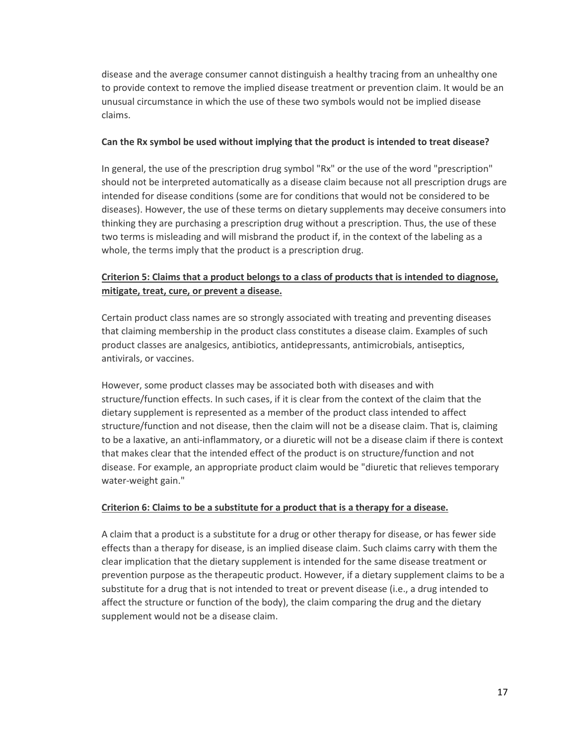disease and the average consumer cannot distinguish a healthy tracing from an unhealthy one to provide context to remove the implied disease treatment or prevention claim. It would be an unusual circumstance in which the use of these two symbols would not be implied disease claims.

#### **Can the Rx symbol be used without implying that the product is intended to treat disease?**

In general, the use of the prescription drug symbol "Rx" or the use of the word "prescription" should not be interpreted automatically as a disease claim because not all prescription drugs are intended for disease conditions (some are for conditions that would not be considered to be diseases). However, the use of these terms on dietary supplements may deceive consumers into thinking they are purchasing a prescription drug without a prescription. Thus, the use of these two terms is misleading and will misbrand the product if, in the context of the labeling as a whole, the terms imply that the product is a prescription drug.

## **Criterion 5: Claims that a product belongs to a class of products that is intended to diagnose, mitigate, treat, cure, or prevent a disease.**

Certain product class names are so strongly associated with treating and preventing diseases that claiming membership in the product class constitutes a disease claim. Examples of such product classes are analgesics, antibiotics, antidepressants, antimicrobials, antiseptics, antivirals, or vaccines.

However, some product classes may be associated both with diseases and with structure/function effects. In such cases, if it is clear from the context of the claim that the dietary supplement is represented as a member of the product class intended to affect structure/function and not disease, then the claim will not be a disease claim. That is, claiming to be a laxative, an anti-inflammatory, or a diuretic will not be a disease claim if there is context that makes clear that the intended effect of the product is on structure/function and not disease. For example, an appropriate product claim would be "diuretic that relieves temporary water-weight gain."

#### **Criterion 6: Claims to be a substitute for a product that is a therapy for a disease.**

A claim that a product is a substitute for a drug or other therapy for disease, or has fewer side effects than a therapy for disease, is an implied disease claim. Such claims carry with them the clear implication that the dietary supplement is intended for the same disease treatment or prevention purpose as the therapeutic product. However, if a dietary supplement claims to be a substitute for a drug that is not intended to treat or prevent disease (i.e., a drug intended to affect the structure or function of the body), the claim comparing the drug and the dietary supplement would not be a disease claim.